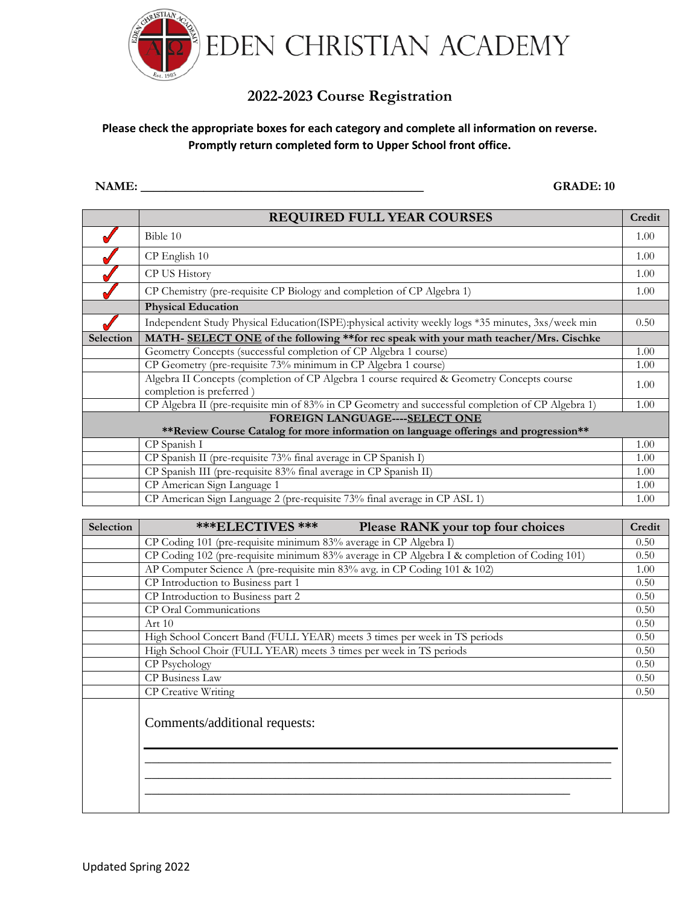

## **2022-2023 Course Registration**

## **Please check the appropriate boxes for each category and complete all information on reverse. Promptly return completed form to Upper School front office.**

**NAME: \_\_\_\_\_\_\_\_\_\_\_\_\_\_\_\_\_\_\_\_\_\_\_\_\_\_\_\_\_\_\_\_\_\_\_\_\_\_\_\_\_\_\_\_\_ GRADE: 10**

|                                                                                       | <b>REQUIRED FULL YEAR COURSES</b>                                                                                      | Credit |  |  |
|---------------------------------------------------------------------------------------|------------------------------------------------------------------------------------------------------------------------|--------|--|--|
|                                                                                       | Bible 10                                                                                                               | 1.00   |  |  |
|                                                                                       | CP English 10                                                                                                          | 1.00   |  |  |
|                                                                                       | CP US History                                                                                                          | 1.00   |  |  |
|                                                                                       | CP Chemistry (pre-requisite CP Biology and completion of CP Algebra 1)                                                 | 1.00   |  |  |
|                                                                                       | <b>Physical Education</b>                                                                                              |        |  |  |
|                                                                                       | Independent Study Physical Education(ISPE):physical activity weekly logs *35 minutes, 3xs/week min                     | 0.50   |  |  |
| Selection                                                                             | MATH- SELECT ONE of the following ** for rec speak with your math teacher/Mrs. Cischke                                 |        |  |  |
|                                                                                       | Geometry Concepts (successful completion of CP Algebra 1 course)                                                       | 1.00   |  |  |
|                                                                                       | CP Geometry (pre-requisite 73% minimum in CP Algebra 1 course)                                                         | 1.00   |  |  |
|                                                                                       | Algebra II Concepts (completion of CP Algebra 1 course required & Geometry Concepts course<br>completion is preferred) | 1.00   |  |  |
|                                                                                       | CP Algebra II (pre-requisite min of 83% in CP Geometry and successful completion of CP Algebra 1)                      | 1.00   |  |  |
| FOREIGN LANGUAGE----SELECT ONE                                                        |                                                                                                                        |        |  |  |
| ** Review Course Catalog for more information on language offerings and progression** |                                                                                                                        |        |  |  |
|                                                                                       | CP Spanish I                                                                                                           | 1.00   |  |  |
|                                                                                       | CP Spanish II (pre-requisite 73% final average in CP Spanish I)                                                        | 1.00   |  |  |
|                                                                                       | CP Spanish III (pre-requisite 83% final average in CP Spanish II)                                                      | 1.00   |  |  |
|                                                                                       | CP American Sign Language 1                                                                                            | 1.00   |  |  |
|                                                                                       | CP American Sign Language 2 (pre-requisite 73% final average in CP ASL 1)                                              | 1.00   |  |  |

| Selection | <b>***ELECTIVES ***</b><br>Please RANK your top four choices                                 | Credit |
|-----------|----------------------------------------------------------------------------------------------|--------|
|           | CP Coding 101 (pre-requisite minimum 83% average in CP Algebra I)                            |        |
|           | CP Coding 102 (pre-requisite minimum 83% average in CP Algebra I & completion of Coding 101) | 0.50   |
|           | AP Computer Science A (pre-requisite min 83% avg. in CP Coding 101 & 102)                    | 1.00   |
|           | CP Introduction to Business part 1                                                           | 0.50   |
|           | CP Introduction to Business part 2                                                           | 0.50   |
|           | CP Oral Communications                                                                       | 0.50   |
|           | Art $10$                                                                                     | 0.50   |
|           | High School Concert Band (FULL YEAR) meets 3 times per week in TS periods                    | 0.50   |
|           | High School Choir (FULL YEAR) meets 3 times per week in TS periods                           | 0.50   |
|           | CP Psychology                                                                                | 0.50   |
|           | CP Business Law                                                                              | 0.50   |
|           | CP Creative Writing                                                                          | 0.50   |
|           | Comments/additional requests:                                                                |        |
|           |                                                                                              |        |